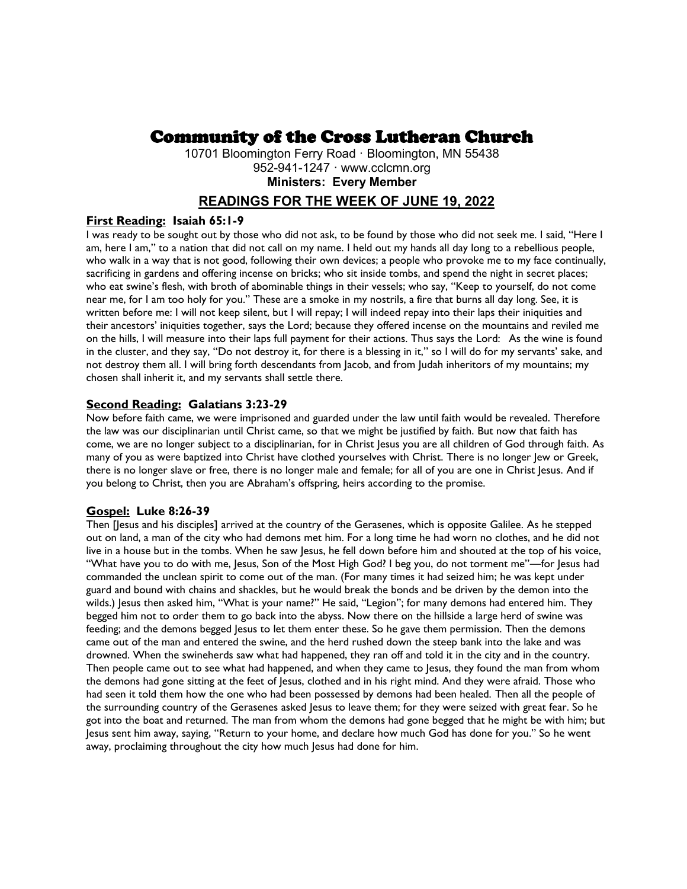## Community of the Cross Lutheran Church

10701 Bloomington Ferry Road · Bloomington, MN 55438 952-941-1247 · www.cclcmn.org **Ministers: Every Member**

#### **READINGS FOR THE WEEK OF JUNE 19, 2022**

#### **First Reading: Isaiah 65:1-9**

I was ready to be sought out by those who did not ask, to be found by those who did not seek me. I said, "Here I am, here I am," to a nation that did not call on my name. I held out my hands all day long to a rebellious people, who walk in a way that is not good, following their own devices; a people who provoke me to my face continually, sacrificing in gardens and offering incense on bricks; who sit inside tombs, and spend the night in secret places; who eat swine's flesh, with broth of abominable things in their vessels; who say, "Keep to yourself, do not come near me, for I am too holy for you." These are a smoke in my nostrils, a fire that burns all day long. See, it is written before me: I will not keep silent, but I will repay; I will indeed repay into their laps their iniquities and their ancestors' iniquities together, says the Lord; because they offered incense on the mountains and reviled me on the hills, I will measure into their laps full payment for their actions. Thus says the Lord: As the wine is found in the cluster, and they say, "Do not destroy it, for there is a blessing in it," so I will do for my servants' sake, and not destroy them all. I will bring forth descendants from Jacob, and from Judah inheritors of my mountains; my chosen shall inherit it, and my servants shall settle there.

#### **Second Reading: Galatians 3:23-29**

Now before faith came, we were imprisoned and guarded under the law until faith would be revealed. Therefore the law was our disciplinarian until Christ came, so that we might be justified by faith. But now that faith has come, we are no longer subject to a disciplinarian, for in Christ Jesus you are all children of God through faith. As many of you as were baptized into Christ have clothed yourselves with Christ. There is no longer Jew or Greek, there is no longer slave or free, there is no longer male and female; for all of you are one in Christ Jesus. And if you belong to Christ, then you are Abraham's offspring, heirs according to the promise.

#### **Gospel: Luke 8:26-39**

Then [Jesus and his disciples] arrived at the country of the Gerasenes, which is opposite Galilee. As he stepped out on land, a man of the city who had demons met him. For a long time he had worn no clothes, and he did not live in a house but in the tombs. When he saw Jesus, he fell down before him and shouted at the top of his voice, "What have you to do with me, Jesus, Son of the Most High God? I beg you, do not torment me"—for Jesus had commanded the unclean spirit to come out of the man. (For many times it had seized him; he was kept under guard and bound with chains and shackles, but he would break the bonds and be driven by the demon into the wilds.) Jesus then asked him, "What is your name?" He said, "Legion"; for many demons had entered him. They begged him not to order them to go back into the abyss. Now there on the hillside a large herd of swine was feeding; and the demons begged Jesus to let them enter these. So he gave them permission. Then the demons came out of the man and entered the swine, and the herd rushed down the steep bank into the lake and was drowned. When the swineherds saw what had happened, they ran off and told it in the city and in the country. Then people came out to see what had happened, and when they came to Jesus, they found the man from whom the demons had gone sitting at the feet of Jesus, clothed and in his right mind. And they were afraid. Those who had seen it told them how the one who had been possessed by demons had been healed. Then all the people of the surrounding country of the Gerasenes asked Jesus to leave them; for they were seized with great fear. So he got into the boat and returned. The man from whom the demons had gone begged that he might be with him; but Jesus sent him away, saying, "Return to your home, and declare how much God has done for you." So he went away, proclaiming throughout the city how much Jesus had done for him.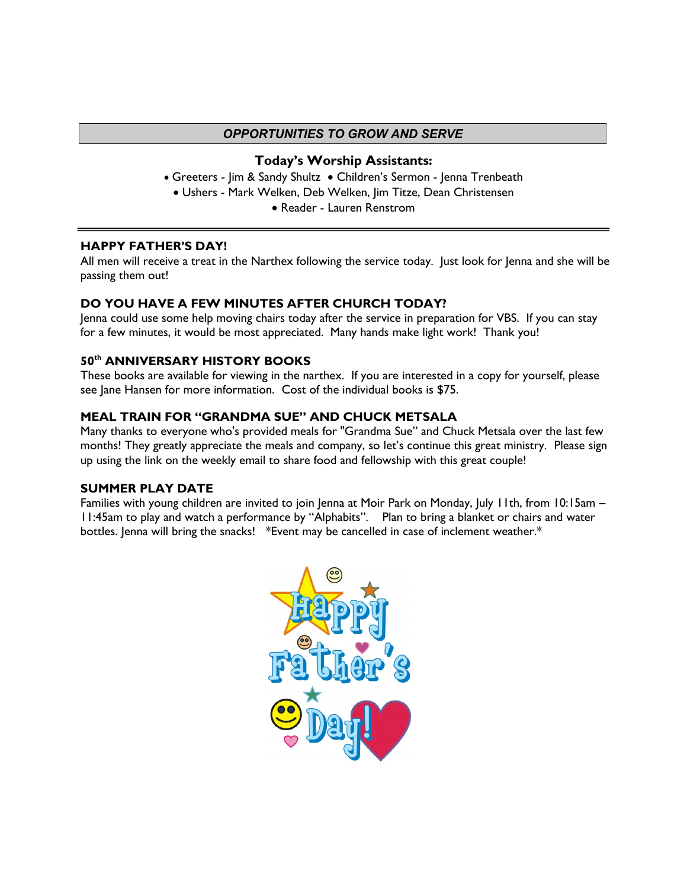#### *OPPORTUNITIES TO GROW AND SERVE*

#### **Today's Worship Assistants:**

- Greeters Jim & Sandy Shultz Children's Sermon Jenna Trenbeath
	- Ushers Mark Welken, Deb Welken, Jim Titze, Dean Christensen
		- Reader Lauren Renstrom

#### **HAPPY FATHER'S DAY!**

All men will receive a treat in the Narthex following the service today. Just look for Jenna and she will be passing them out!

#### **DO YOU HAVE A FEW MINUTES AFTER CHURCH TODAY?**

Jenna could use some help moving chairs today after the service in preparation for VBS. If you can stay for a few minutes, it would be most appreciated. Many hands make light work! Thank you!

#### **50th ANNIVERSARY HISTORY BOOKS**

These books are available for viewing in the narthex. If you are interested in a copy for yourself, please see Jane Hansen for more information. Cost of the individual books is \$75.

#### **MEAL TRAIN FOR "GRANDMA SUE" AND CHUCK METSALA**

Many thanks to everyone who's provided meals for "Grandma Sue" and Chuck Metsala over the last few months! They greatly appreciate the meals and company, so let's continue this great ministry. Please sign up using the link on the weekly email to share food and fellowship with this great couple!

#### **SUMMER PLAY DATE**

Families with young children are invited to join Jenna at Moir Park on Monday, July 11th, from 10:15am – 11:45am to play and watch a performance by "Alphabits". Plan to bring a blanket or chairs and water bottles. Jenna will bring the snacks! \*Event may be cancelled in case of inclement weather.\*

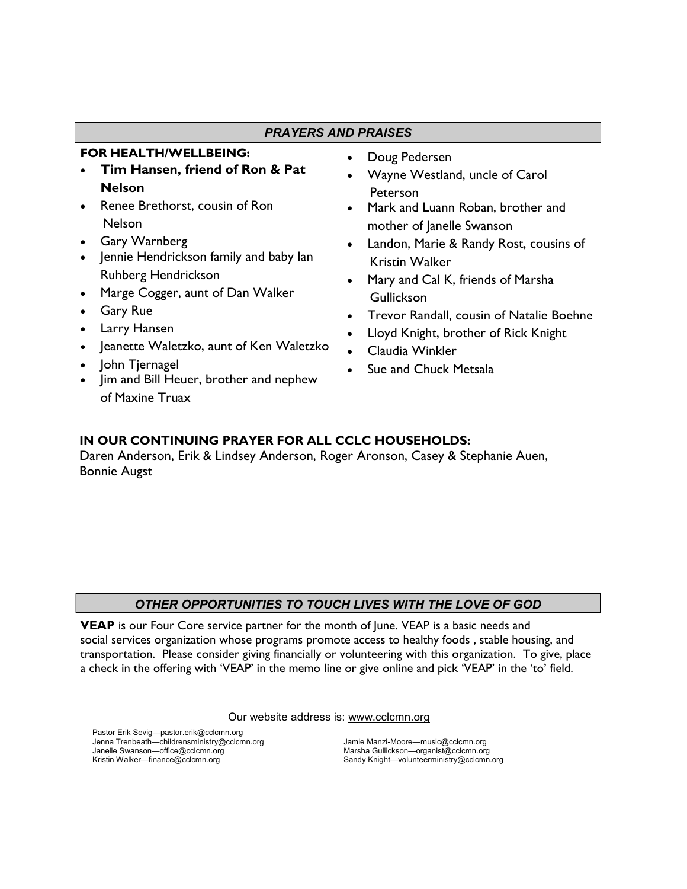## *PRAYERS AND PRAISES*

### **FOR HEALTH/WELLBEING:**

- **Tim Hansen, friend of Ron & Pat Nelson**
- Renee Brethorst, cousin of Ron Nelson
- Gary Warnberg
- Jennie Hendrickson family and baby lan Ruhberg Hendrickson
- Marge Cogger, aunt of Dan Walker
- Gary Rue
- Larry Hansen
- Jeanette Waletzko, aunt of Ken Waletzko
- John Tjernagel
- Jim and Bill Heuer, brother and nephew of Maxine Truax
- Doug Pedersen
- Wayne Westland, uncle of Carol Peterson
- Mark and Luann Roban, brother and mother of Janelle Swanson
- Landon, Marie & Randy Rost, cousins of Kristin Walker
- Mary and Cal K, friends of Marsha **Gullickson**
- Trevor Randall, cousin of Natalie Boehne
- Lloyd Knight, brother of Rick Knight
- Claudia Winkler
- Sue and Chuck Metsala

### **IN OUR CONTINUING PRAYER FOR ALL CCLC HOUSEHOLDS:**

Daren Anderson, Erik & Lindsey Anderson, Roger Aronson, Casey & Stephanie Auen, Bonnie Augst

## *OTHER OPPORTUNITIES TO TOUCH LIVES WITH THE LOVE OF GOD*

**VEAP** is our Four Core service partner for the month of June. VEAP is a basic needs and social services organization whose programs promote access to healthy foods , stable housing, and transportation. Please consider giving financially or volunteering with this organization. To give, place a check in the offering with 'VEAP' in the memo line or give online and pick 'VEAP' in the 'to' field.

Our website address is: www.cclcmn.org

Pastor Erik Sevig—pastor.erik@cclcmn.org Jenna Trenbeath—childrensministry@cclcmn.org Janelle Swanson—office@cclcmn.org Kristin Walker—finance@cclcmn.org

Jamie Manzi-Moore—music@cclcmn.org Marsha Gullickson—organist@cclcmn.org Sandy Knight—volunteerministry@cclcmn.org